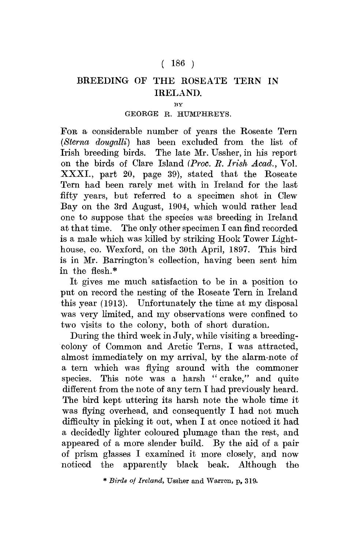## $(186)$

## BREEDING OF THE ROSEATE TERN IN IRELAND.

**BY** 

## GEORGE R. HUMPHREYS.

FOR a considerable number of years the Roseate Tern *(Sterna dougalli)* has been excluded from the list of Irish breeding birds. The late Mr. Ussher, in his report on the birds of Clare Island *(Proc. B. Irish Acad.,* Vol. XXXI., part 20, page 39), stated that the Roseate Tern had been rarely met with in Ireland for the last fifty years, but referred to a specimen shot in Clew Bay on the 3rd August, 1904, which would rather lead one to suppose that the species was breeding in Ireland at that time. The only other specimen I can find recorded is a male which was killed by striking Hook Tower Lighthouse, co. Wexford, on the 30th April, 1897. This bird is in Mr. Barrington's collection, having been sent him in the flesh.\*

It gives me much satisfaction to be in a position to put on record the nesting of the Roseate Tern in Ireland this year (1913). Unfortunately the time at my disposal was very limited, and my observations were confined to two visits to the colony, both of short duration.

During the third week in July, while visiting a breedingcolony of Common and Arctic Terns, I was attracted, almost immediately on my arrival, by the alarm-note of a tern which was flying around with the commoner species. This note was a harsh "crake," and quite different from the note of any tern I had previously heard. The bird kept uttering its harsh note the whole time it was flying overhead, and consequently I had not much difficulty in picking it out, when I at once noticed it had a decidedly lighter coloured plumage than the rest, and appeared of a more slender build. By the aid of a pair of prism glasses I examined it more closely, and now noticed the apparently black beak. Although the

\* *Birds of Ireland,* TJssher and Warren, p, 319.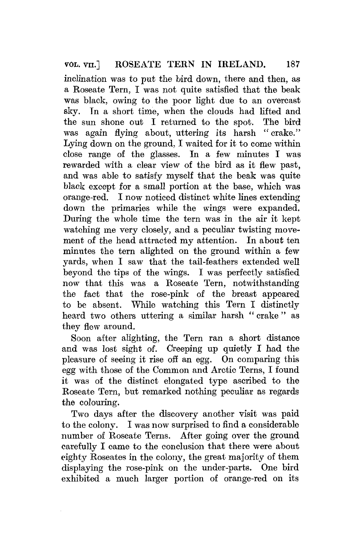inclination was to put the bird down, there and then, as a Roseate Tern, I was not quite satisfied that the beak was black, owing to the poor light due to an overcast sky. Tn a short time, when the clouds had lifted and the sun shone out I returned to the spot. The bird was again flying about, uttering its harsh " crake." Lying down on the ground. I waited for it to come within close range of the glasses. In a few minutes I was rewarded with a clear view of the bird as it flew past, and was able to satisfy myself that the beak was quite black except for a small portion at the base, which was orange-red. I now noticed distinct white lines extending down the primaries while the wings were expanded. During the whole time the tern was in the air it kept watching me very closely, and a peculiar twisting movement of the head attracted my attention. In about ten minutes the tern alighted on the ground within a few yards, when I saw that the tail-feathers extended well beyond the tips of the wings. I was perfectly satisfied now that this was a Roseate Tern, notwithstanding the fact that the rose-pink of the breast appeared to be absent. While watching this Tern I distinctly heard two others uttering a similar harsh "crake" as they flew around.

Soon after alighting, the Tern ran a short distance and was lost sight of. Creeping up quietly I had the pleasure of seeing it rise off an egg. On comparing this egg with those of the Common and Arctic Terns, I found it was of the distinct elongated type ascribed to the Roseate Tern, but remarked nothing peculiar as regards the colouring.

Two days after the discovery another visit was paid to the colony. I was now surprised to find a considerable number of Roseate Terns. After going over the ground carefully I came to the conclusion that there were about eighty Roseates in the colony, the great majority of them displaying the rose-pink on the under-parts. One bird exhibited a much larger portion of orange-red on its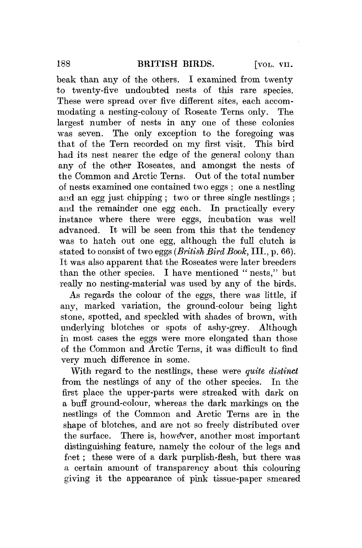beak than any of the others. I examined from twenty to twenty-five undoubted nests of this rare species. These were spread over five different sites, each accommodating a nesting-colony of Roseate Terns only. The largest number of nests in any one of these colonies was seven. The only exception to the foregoing was that of the Tern recorded on my first visit. This bird had its nest nearer the edge of the general colony than any of the other Roseates, and amongst the nests of the Common and Arctic Terns. Out of the total number of nests examined one contained two eggs ; one a nestling and an egg just chipping; two or three single nestlings; and the remainder one egg each. In practically every instance where there were eggs, incubation was well advanced. It will be seen from this that the tendency was to hatch out one egg, although the full clutch is stated to consist of two eggs *{British Bird Booh,* III., p. 66). It was also apparent that the Roseates were later breeders than the other species. I have mentioned " nests," but really no nesting-material was used by any of the birds.

As regards the colour of the eggs, there was little, if any, marked variation, the ground-colour being light stone, spotted, and speckled with shades of brown, with underlying blotches or spots of ashy-grey. Although in most cases the eggs were more elongated than those of the Common and Arctic Terns, it was difficult to find very much difference in some.

With regard to the nestlings, these were *quite distinct*  from the nestlings of any of the other species. In the first place the upper-parts were streaked with dark on a buff ground-colour, whereas the dark markings on the nestlings of the Common and Arctic Terns are in the shape of blotches, and are not so freely distributed over the surface. There is, however, another most important distinguishing feature, namely the colour of the legs and feet; these were of a dark purplish-flesh, but there was a certain amount of transparency about this colouring giving it the appearance of pink tissue-paper smeared